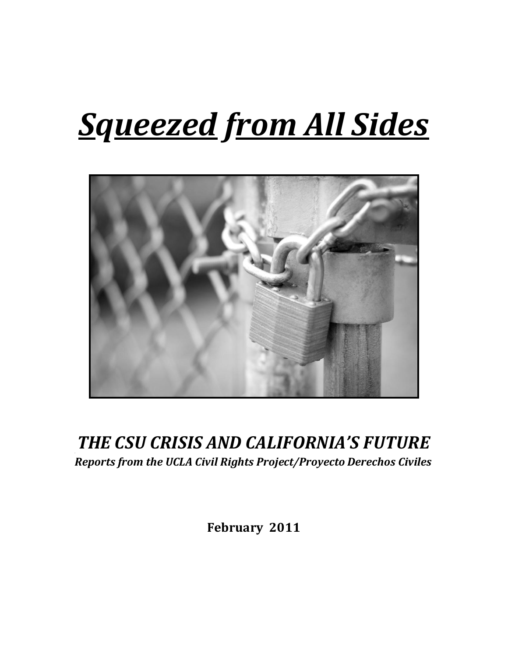# *Squeezed from'All'Sides*



# **THE CSU CRISIS AND CALIFORNIA'S FUTURE** *Reports'from'the'UCLA'Civil'Rights'Project/Proyecto'Derechos'Civiles*

February 2011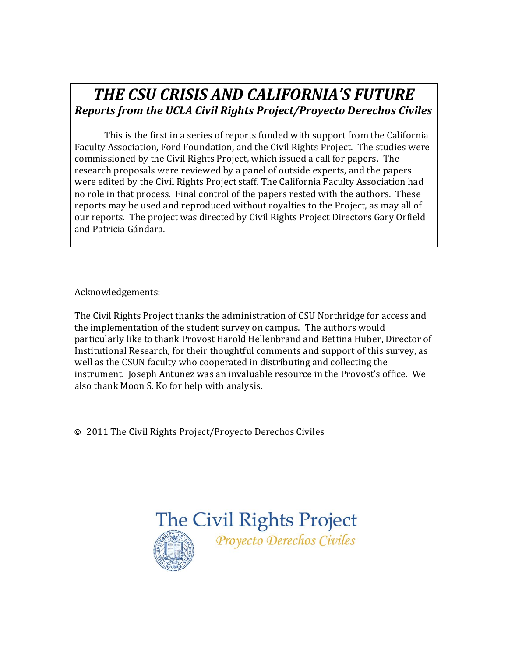# **THE CSU CRISIS AND CALIFORNIA'S FUTURE** *Reports'from'the'UCLA'Civil'Rights'Project/Proyecto'Derechos'Civiles*

This is the first in a series of reports funded with support from the California Faculty Association, Ford Foundation, and the Civil Rights Project. The studies were commissioned by the Civil Rights Project, which issued a call for papers. The research proposals were reviewed by a panel of outside experts, and the papers were edited by the Civil Rights Project staff. The California Faculty Association had no role in that process. Final control of the papers rested with the authors. These reports may be used and reproduced without royalties to the Project, as may all of our reports. The project was directed by Civil Rights Project Directors Gary Orfield and Patricia Gándara.

Acknowledgements:

The Civil Rights Project thanks the administration of CSU Northridge for access and the implementation of the student survey on campus. The authors would particularly like to thank Provost Harold Hellenbrand and Bettina Huber, Director of Institutional Research, for their thoughtful comments and support of this survey, as well as the CSUN faculty who cooperated in distributing and collecting the instrument. Joseph Antunez was an invaluable resource in the Provost's office. We also thank Moon S. Ko for help with analysis.

 $\odot$  2011 The Civil Rights Project/Proyecto Derechos Civiles

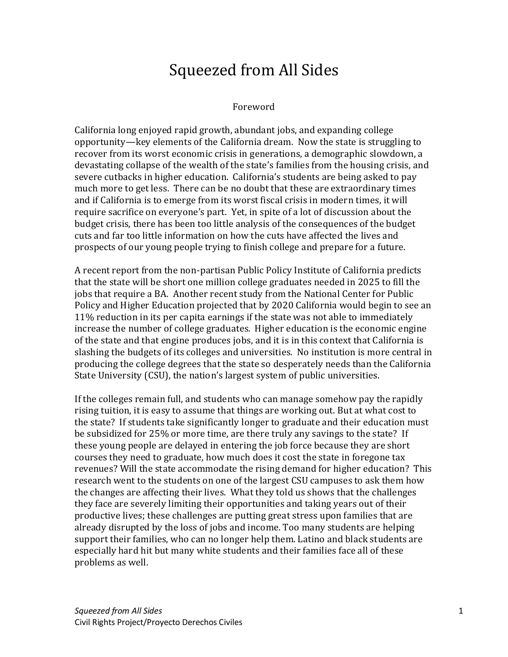# Squeezed from All Sides

#### Foreword

California long enjoyed rapid growth, abundant jobs, and expanding college opportunity—key elements of the California dream. Now the state is struggling to recover from its worst economic crisis in generations, a demographic slowdown, a devastating collapse of the wealth of the state's families from the housing crisis, and severe cutbacks in higher education. California's students are being asked to pay much more to get less. There can be no doubt that these are extraordinary times and if California is to emerge from its worst fiscal crisis in modern times, it will require sacrifice on everyone's part. Yet, in spite of a lot of discussion about the budget crisis, there has been too little analysis of the consequences of the budget cuts and far too little information on how the cuts have affected the lives and prospects of our young people trying to finish college and prepare for a future.

A recent report from the non-partisan Public Policy Institute of California predicts that the state will be short one million college graduates needed in 2025 to fill the jobs that require a BA. Another recent study from the National Center for Public Policy and Higher Education projected that by 2020 California would begin to see an 11% reduction in its per capita earnings if the state was not able to immediately increase the number of college graduates. Higher education is the economic engine of the state and that engine produces jobs, and it is in this context that California is slashing the budgets of its colleges and universities. No institution is more central in producing the college degrees that the state so desperately needs than the California State University (CSU), the nation's largest system of public universities.

If the colleges remain full, and students who can manage somehow pay the rapidly rising tuition, it is easy to assume that things are working out. But at what cost to the state? If students take significantly longer to graduate and their education must be subsidized for 25% or more time, are there truly any savings to the state? If these young people are delayed in entering the job force because they are short courses they need to graduate, how much does it cost the state in foregone tax revenues? Will the state accommodate the rising demand for higher education? This research went to the students on one of the largest CSU campuses to ask them how the changes are affecting their lives. What they told us shows that the challenges they face are severely limiting their opportunities and taking years out of their productive lives; these challenges are putting great stress upon families that are already disrupted by the loss of jobs and income. Too many students are helping support their families, who can no longer help them. Latino and black students are especially hard hit but many white students and their families face all of these problems as well.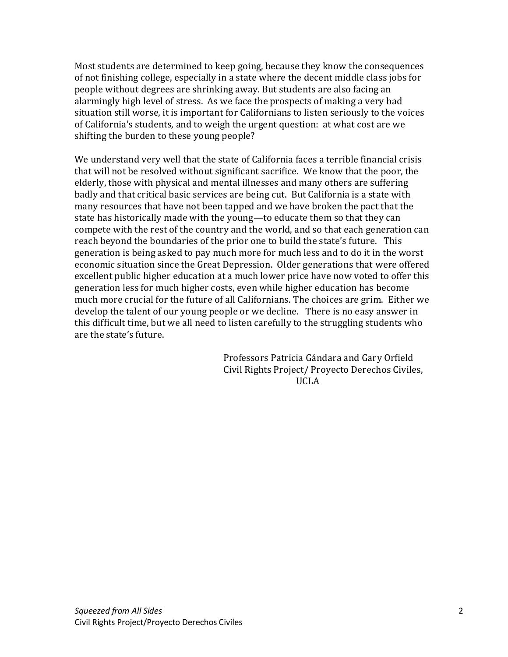Most students are determined to keep going, because they know the consequences of not finishing college, especially in a state where the decent middle class jobs for people without degrees are shrinking away. But students are also facing an alarmingly high level of stress. As we face the prospects of making a very bad situation still worse, it is important for Californians to listen seriously to the voices of California's students, and to weigh the urgent question: at what cost are we shifting the burden to these young people?

We understand very well that the state of California faces a terrible financial crisis that will not be resolved without significant sacrifice. We know that the poor, the elderly, those with physical and mental illnesses and many others are suffering badly and that critical basic services are being cut. But California is a state with many resources that have not been tapped and we have broken the pact that the state has historically made with the young—to educate them so that they can compete with the rest of the country and the world, and so that each generation can reach beyond the boundaries of the prior one to build the state's future. This generation is being asked to pay much more for much less and to do it in the worst economic situation since the Great Depression. Older generations that were offered excellent public higher education at a much lower price have now voted to offer this generation less for much higher costs, even while higher education has become much more crucial for the future of all Californians. The choices are grim. Either we develop the talent of our young people or we decline. There is no easy answer in this difficult time, but we all need to listen carefully to the struggling students who are the state's future.

Professors Patricia Gándara and Gary Orfield Civil Rights Project/ Proyecto Derechos Civiles, !!!!!!!!!!!!!!!!!!!!!!!!!!!!!!!!!!!!!!!!!!!!!!!!!!!!!!!!!!!!!!!!!!!!!!!!!!!!!!!!!!!!!!!!!!!!!!!!!!!!!UCLA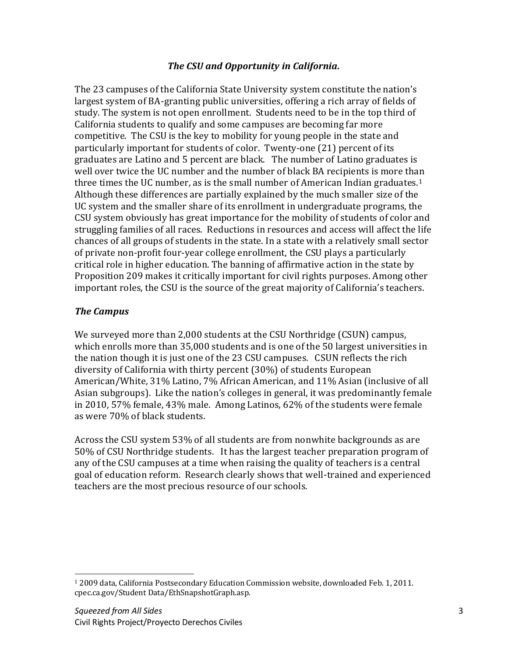### *The'CSU'and'Opportunity'in'California.*

The 23 campuses of the California State University system constitute the nation's largest system of BA-granting public universities, offering a rich array of fields of study. The system is not open enrollment. Students need to be in the top third of California students to qualify and some campuses are becoming far more competitive. The CSU is the key to mobility for young people in the state and particularly important for students of color. Twenty-one (21) percent of its graduates are Latino and 5 percent are black. The number of Latino graduates is well over twice the UC number and the number of black BA recipients is more than three times the UC number, as is the small number of American Indian graduates.<sup>1</sup> Although these differences are partially explained by the much smaller size of the UC system and the smaller share of its enrollment in undergraduate programs, the CSU system obviously has great importance for the mobility of students of color and struggling families of all races. Reductions in resources and access will affect the life chances of all groups of students in the state. In a state with a relatively small sector of private non-profit four-year college enrollment, the CSU plays a particularly critical role in higher education. The banning of affirmative action in the state by Proposition 209 makes it critically important for civil rights purposes. Among other important roles, the CSU is the source of the great majority of California's teachers.

### *The'Campus*

We surveyed more than 2,000 students at the CSU Northridge (CSUN) campus, which enrolls more than 35,000 students and is one of the 50 largest universities in the nation though it is just one of the 23 CSU campuses. CSUN reflects the rich diversity of California with thirty percent (30%) of students European American/White, 31% Latino, 7% African American, and 11% Asian (inclusive of all Asian subgroups). Like the nation's colleges in general, it was predominantly female in 2010, 57% female, 43% male. Among Latinos, 62% of the students were female as were 70% of black students.

Across the CSU system 53% of all students are from nonwhite backgrounds as are 50% of CSU Northridge students. It has the largest teacher preparation program of any of the CSU campuses at a time when raising the quality of teachers is a central goal of education reform. Research clearly shows that well-trained and experienced teachers are the most precious resource of our schools.

!!!!!!!!!!!!!!!!!!!!!!!!!!!!!!!!!!!!!!!!!!!!!!!!!!!!!!!!!!

<sup>&</sup>lt;sup>1</sup> 2009 data, California Postsecondary Education Commission website, downloaded Feb. 1, 2011. cpec.ca.gov/Student!Data/EthSnapshotGraph.asp.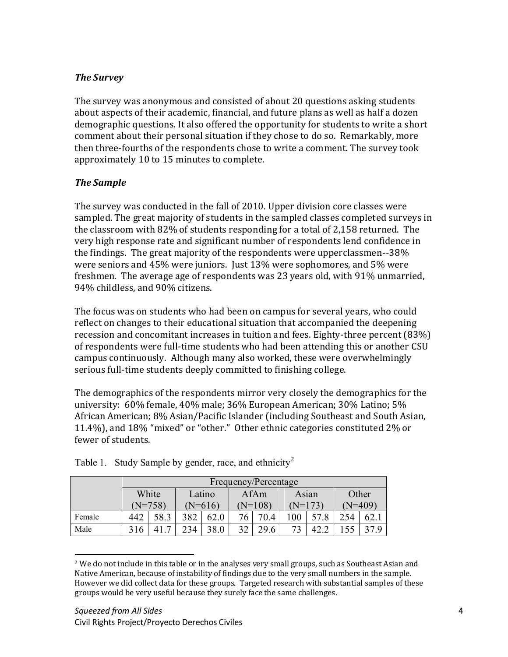# *The'Survey*

The survey was anonymous and consisted of about 20 questions asking students about aspects of their academic, financial, and future plans as well as half a dozen demographic questions. It also offered the opportunity for students to write a short comment about their personal situation if they chose to do so. Remarkably, more then three-fourths of the respondents chose to write a comment. The survey took approximately 10 to 15 minutes to complete.

# *The'Sample*

The survey was conducted in the fall of 2010. Upper division core classes were sampled. The great majority of students in the sampled classes completed surveys in the classroom with  $82\%$  of students responding for a total of 2,158 returned. The very high response rate and significant number of respondents lend confidence in the findings. The great majority of the respondents were upperclassmen--38% were seniors and 45% were juniors. Just 13% were sophomores, and 5% were freshmen. The average age of respondents was 23 years old, with 91% unmarried, 94% childless, and 90% citizens.

The focus was on students who had been on campus for several years, who could reflect on changes to their educational situation that accompanied the deepening recession and concomitant increases in tuition and fees. Eighty-three percent (83%) of respondents were full-time students who had been attending this or another CSU campus continuously. Although many also worked, these were overwhelmingly serious full-time students deeply committed to finishing college.

The demographics of the respondents mirror very closely the demographics for the university: 60% female, 40% male; 36% European American; 30% Latino; 5% African American; 8% Asian/Pacific Islander (including Southeast and South Asian, 11.4%), and 18% "mixed" or "other." Other ethnic categories constituted 2% or fewer of students.

|        | Frequency/Percentage |           |        |           |      |           |       |         |       |           |  |  |  |
|--------|----------------------|-----------|--------|-----------|------|-----------|-------|---------|-------|-----------|--|--|--|
|        | White                |           | Latino |           | AfAm |           | Asian |         | Other |           |  |  |  |
|        |                      | $(N=758)$ |        | $(N=616)$ |      | $(N=108)$ |       | (N=173) |       | $(N=409)$ |  |  |  |
| Female | 442                  | 58.3      | 382    | 62.0      | 76   | 70.4      | .00   |         | 254   | 62        |  |  |  |
| Male   | 316                  | ⇁         | 234    | 38.0      | 32   | 29.6      |       |         |       |           |  |  |  |

Table 1. Study Sample by gender, race, and ethnicity<sup>2</sup>

<sup>!!!!!!!!!!!!!!!!!!!!!!!!!!!!!!!!!!!!!!!!!!!!!!!!!!!!!!!!!!</sup>  $2$  We do not include in this table or in the analyses very small groups, such as Southeast Asian and Native American, because of instability of findings due to the very small numbers in the sample. However we did collect data for these groups. Targeted research with substantial samples of these groups would be very useful because they surely face the same challenges.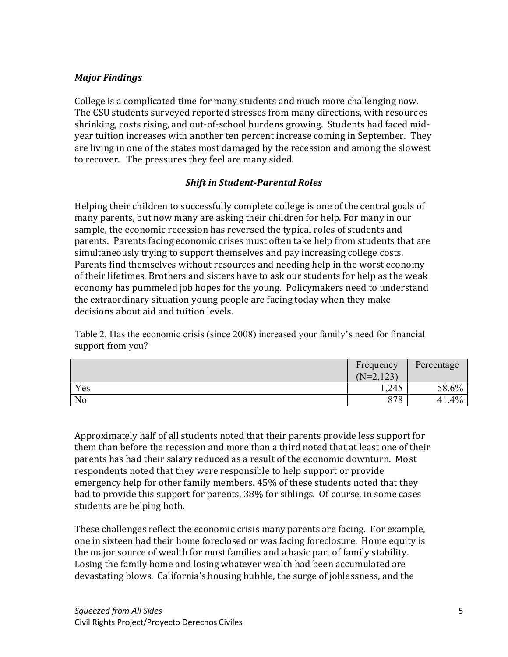## *Major'Findings*

College is a complicated time for many students and much more challenging now. The CSU students surveyed reported stresses from many directions, with resources shrinking, costs rising, and out-of-school burdens growing. Students had faced midyear tuition increases with another ten percent increase coming in September. They are living in one of the states most damaged by the recession and among the slowest to recover. The pressures they feel are many sided.

## **Shift in Student-Parental Roles**

Helping their children to successfully complete college is one of the central goals of many parents, but now many are asking their children for help. For many in our sample, the economic recession has reversed the typical roles of students and parents. Parents facing economic crises must often take help from students that are simultaneously trying to support themselves and pay increasing college costs. Parents find themselves without resources and needing help in the worst economy of their lifetimes. Brothers and sisters have to ask our students for help as the weak economy has pummeled job hopes for the young. Policymakers need to understand the extraordinary situation young people are facing today when they make decisions about aid and tuition levels.

Table 2. Has the economic crisis (since 2008) increased your family's need for financial support from you?

|                | Frequency       | Percentage   |
|----------------|-----------------|--------------|
|                | .123<br>$(N=2)$ |              |
| Yes            | ,245            | 58.6%        |
| N <sub>0</sub> | 878             | $.4\%$<br>41 |

Approximately half of all students noted that their parents provide less support for them than before the recession and more than a third noted that at least one of their parents has had their salary reduced as a result of the economic downturn. Most respondents noted that they were responsible to help support or provide emergency help for other family members. 45% of these students noted that they had to provide this support for parents, 38% for siblings. Of course, in some cases students are helping both.

These challenges reflect the economic crisis many parents are facing. For example, one in sixteen had their home foreclosed or was facing foreclosure. Home equity is the major source of wealth for most families and a basic part of family stability. Losing the family home and losing whatever wealth had been accumulated are devastating blows. California's housing bubble, the surge of joblessness, and the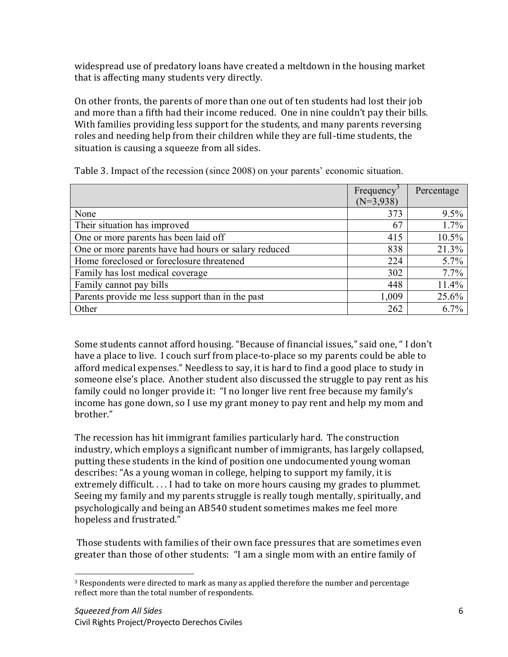widespread use of predatory loans have created a meltdown in the housing market  $\overline{a}$ that is affecting many students very directly.

On other fronts, the parents of more than one out of ten students had lost their job and more than a fifth had their income reduced. One in nine couldn't pay their bills. With families providing less support for the students, and many parents reversing roles and needing help from their children while they are full-time students, the situation is causing a squeeze from all sides.

|                                                      | Frequency   | Percentage |
|------------------------------------------------------|-------------|------------|
|                                                      | $(N=3,938)$ |            |
| None                                                 | 373         | $9.5\%$    |
| Their situation has improved                         | 67          | $1.7\%$    |
| One or more parents has been laid off                | 415         | $10.5\%$   |
| One or more parents have had hours or salary reduced | 838         | 21.3%      |
| Home foreclosed or foreclosure threatened            | 224         | $5.7\%$    |
| Family has lost medical coverage                     | 302         | $7.7\%$    |
| Family cannot pay bills                              | 448         | 11.4%      |
| Parents provide me less support than in the past     | 1,009       | 25.6%      |
| Other                                                | 262         | $6.7\%$    |

Table 3. Impact of the recession (since 2008) on your parents' economic situation.

Some students cannot afford housing. "Because of financial issues," said one, "I don't have a place to live. I couch surf from place-to-place so my parents could be able to afford medical expenses." Needless to say, it is hard to find a good place to study in someone else's place. Another student also discussed the struggle to pay rent as his family could no longer provide it: "I no longer live rent free because my family's income has gone down, so I use my grant money to pay rent and help my mom and hrother."

The recession has hit immigrant families particularly hard. The construction industry, which employs a significant number of immigrants, has largely collapsed, putting these students in the kind of position one undocumented young woman describes: "As a young woman in college, helping to support my family, it is extremely difficult.... I had to take on more hours causing my grades to plummet. Seeing my family and my parents struggle is really tough mentally, spiritually, and psychologically and being an AB540 student sometimes makes me feel more hopeless and frustrated."

Those students with families of their own face pressures that are sometimes even greater than those of other students: "I am a single mom with an entire family of

!!!!!!!!!!!!!!!!!!!!!!!!!!!!!!!!!!!!!!!!!!!!!!!!!!!!!!!!!!

 $3$  Respondents were directed to mark as many as applied therefore the number and percentage reflect more than the total number of respondents.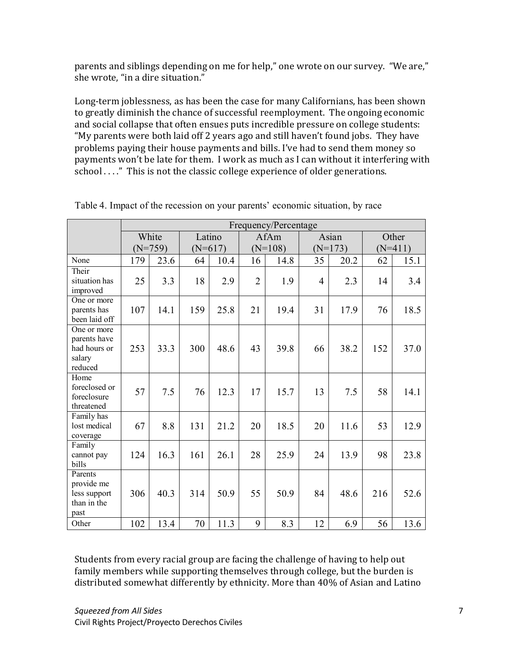parents and siblings depending on me for help," one wrote on our survey. "We are," she wrote, "in a dire situation."

Long-term joblessness, as has been the case for many Californians, has been shown to greatly diminish the chance of successful reemployment. The ongoing economic and social collapse that often ensues puts incredible pressure on college students: "My parents were both laid off 2 years ago and still haven't found jobs. They have problems paying their house payments and bills. I've had to send them money so payments won't be late for them. I work as much as I can without it interfering with  $school \ldots$ ." This is not the classic college experience of older generations.

|                                                                  | Frequency/Percentage |           |           |      |                |           |                |           |           |       |
|------------------------------------------------------------------|----------------------|-----------|-----------|------|----------------|-----------|----------------|-----------|-----------|-------|
|                                                                  |                      | White     | Latino    |      | AfAm           |           |                | Asian     |           | Other |
|                                                                  |                      | $(N=759)$ | $(N=617)$ |      |                | $(N=108)$ |                | $(N=173)$ | $(N=411)$ |       |
| None                                                             | 179                  | 23.6      | 64        | 10.4 | 16             | 14.8      | 35             | 20.2      | 62        | 15.1  |
| Their<br>situation has<br>improved                               | 25                   | 3.3       | 18        | 2.9  | $\overline{2}$ | 1.9       | $\overline{4}$ | 2.3       | 14        | 3.4   |
| One or more<br>parents has<br>been laid off                      | 107                  | 14.1      | 159       | 25.8 | 21             | 19.4      | 31             | 17.9      | 76        | 18.5  |
| One or more<br>parents have<br>had hours or<br>salary<br>reduced | 253                  | 33.3      | 300       | 48.6 | 43             | 39.8      | 66             | 38.2      | 152       | 37.0  |
| Home<br>foreclosed or<br>foreclosure<br>threatened               | 57                   | 7.5       | 76        | 12.3 | 17             | 15.7      | 13             | 7.5       | 58        | 14.1  |
| Family has<br>lost medical<br>coverage                           | 67                   | 8.8       | 131       | 21.2 | 20             | 18.5      | 20             | 11.6      | 53        | 12.9  |
| Family<br>cannot pay<br>bills                                    | 124                  | 16.3      | 161       | 26.1 | 28             | 25.9      | 24             | 13.9      | 98        | 23.8  |
| Parents<br>provide me<br>less support<br>than in the<br>past     | 306                  | 40.3      | 314       | 50.9 | 55             | 50.9      | 84             | 48.6      | 216       | 52.6  |
| Other                                                            | 102                  | 13.4      | 70        | 11.3 | 9              | 8.3       | 12             | 6.9       | 56        | 13.6  |

Table 4. Impact of the recession on your parents' economic situation, by race

Students from every racial group are facing the challenge of having to help out family members while supporting themselves through college, but the burden is distributed somewhat differently by ethnicity. More than 40% of Asian and Latino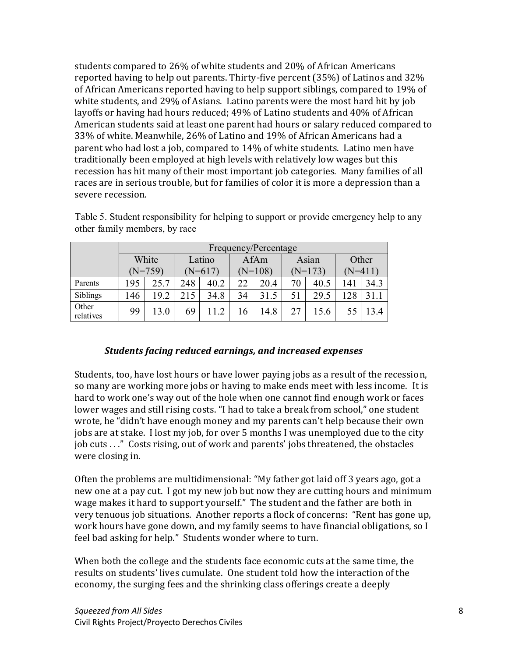students compared to 26% of white students and 20% of African Americans reported having to help out parents. Thirty-five percent (35%) of Latinos and 32% of African Americans reported having to help support siblings, compared to 19% of white students, and 29% of Asians. Latino parents were the most hard hit by job layoffs or having had hours reduced; 49% of Latino students and 40% of African American students said at least one parent had hours or salary reduced compared to 33% of white. Meanwhile, 26% of Latino and 19% of African Americans had a parent who had lost a job, compared to 14% of white students. Latino men have traditionally been employed at high levels with relatively low wages but this recession has hit many of their most important job categories. Many families of all races are in serious trouble, but for families of color it is more a depression than a severe recession.

|                    | Frequency/Percentage |           |        |           |      |           |       |           |       |      |           |  |  |
|--------------------|----------------------|-----------|--------|-----------|------|-----------|-------|-----------|-------|------|-----------|--|--|
|                    | White                |           | Latino |           | AfAm |           | Asian |           | Other |      |           |  |  |
|                    |                      | $(N=759)$ |        | $(N=617)$ |      | $(N=108)$ |       | $(N=173)$ |       |      | $(N=411)$ |  |  |
| Parents            | 195                  | 25.7      | 248    | 40.2      | 22   | 20.4      | 70    | 40.5      | 141   | 34.3 |           |  |  |
| Siblings           | 146                  | 19.2      | 215    | 34.8      | 34   | 31.5      | 51    | 29.5      | 128   |      |           |  |  |
| Other<br>relatives | 99                   | 13.0      | 69     |           | 16   | 14.8      |       | 156       |       | 13.4 |           |  |  |

Table 5. Student responsibility for helping to support or provide emergency help to any other family members, by race

#### *Students'facing'reduced'earnings,'and'increased'expenses*

Students, too, have lost hours or have lower paying jobs as a result of the recession, so many are working more jobs or having to make ends meet with less income. It is hard to work one's way out of the hole when one cannot find enough work or faces lower wages and still rising costs. "I had to take a break from school," one student wrote, he "didn't have enough money and my parents can't help because their own jobs are at stake. I lost my job, for over 5 months I was unemployed due to the city job cuts . . ." Costs rising, out of work and parents' jobs threatened, the obstacles were closing in.

Often the problems are multidimensional: "My father got laid off 3 years ago, got a new one at a pay cut. I got my new job but now they are cutting hours and minimum wage makes it hard to support yourself." The student and the father are both in very tenuous job situations. Another reports a flock of concerns: "Rent has gone up, work hours have gone down, and my family seems to have financial obligations, so I feel bad asking for help." Students wonder where to turn.

When both the college and the students face economic cuts at the same time, the results on students' lives cumulate. One student told how the interaction of the economy, the surging fees and the shrinking class offerings create a deeply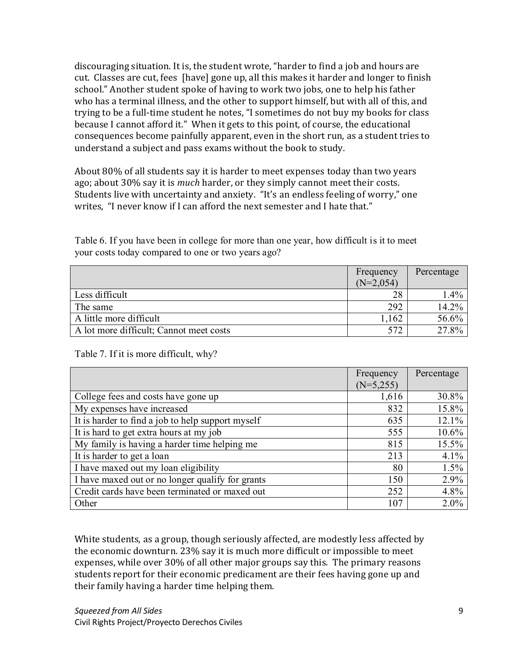discouraging situation. It is, the student wrote, "harder to find a job and hours are cut. Classes are cut, fees [have] gone up, all this makes it harder and longer to finish school." Another student spoke of having to work two jobs, one to help his father who has a terminal illness, and the other to support himself, but with all of this, and trying to be a full-time student he notes, "I sometimes do not buy my books for class because I cannot afford it." When it gets to this point, of course, the educational consequences become painfully apparent, even in the short run, as a student tries to understand a subject and pass exams without the book to study.

About 80% of all students say it is harder to meet expenses today than two years ago; about 30% say it is *much* harder, or they simply cannot meet their costs. Students live with uncertainty and anxiety. "It's an endless feeling of worry," one writes. "I never know if I can afford the next semester and I hate that."

Table 6. If you have been in college for more than one year, how difficult is it to meet your costs today compared to one or two years ago?

|                                         | Frequency<br>$(N=2,054)$ | Percentage |
|-----------------------------------------|--------------------------|------------|
| Less difficult                          | 28                       | $1.4\%$    |
| The same                                | 292                      | $14.2\%$   |
| A little more difficult                 | .162                     | $56.6\%$   |
| A lot more difficult; Cannot meet costs | 572                      | 27.8%      |

Table 7. If it is more difficult, why?

|                                                   | Frequency   | Percentage |
|---------------------------------------------------|-------------|------------|
|                                                   | $(N=5,255)$ |            |
| College fees and costs have gone up               | 1,616       | 30.8%      |
| My expenses have increased                        | 832         | 15.8%      |
| It is harder to find a job to help support myself | 635         | 12.1%      |
| It is hard to get extra hours at my job           | 555         | 10.6%      |
| My family is having a harder time helping me      | 815         | 15.5%      |
| It is harder to get a loan                        | 213         | 4.1%       |
| I have maxed out my loan eligibility              | 80          | 1.5%       |
| I have maxed out or no longer qualify for grants  | 150         | 2.9%       |
| Credit cards have been terminated or maxed out    | 252         | 4.8%       |
| Other                                             | 107         | 2.0%       |

White students, as a group, though seriously affected, are modestly less affected by the economic downturn. 23% say it is much more difficult or impossible to meet expenses, while over 30% of all other major groups say this. The primary reasons students report for their economic predicament are their fees having gone up and their family having a harder time helping them.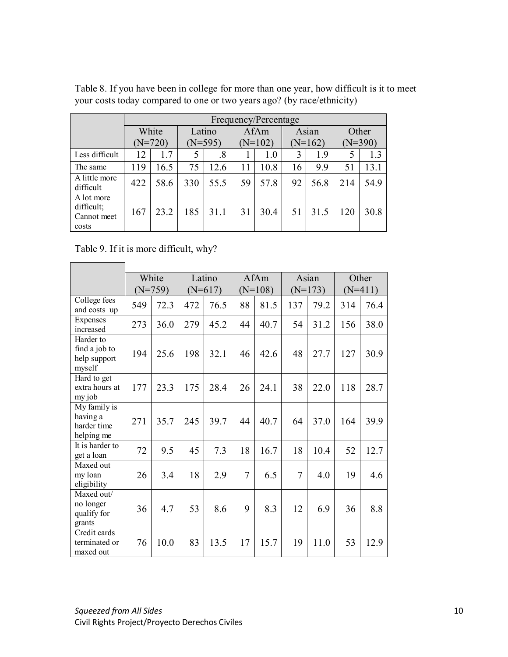|                                                  |           | Frequency/Percentage |           |        |           |      |           |       |           |      |  |  |  |
|--------------------------------------------------|-----------|----------------------|-----------|--------|-----------|------|-----------|-------|-----------|------|--|--|--|
|                                                  |           | White                |           | Latino |           | AfAm |           | Asian | Other     |      |  |  |  |
|                                                  | $(N=720)$ |                      | $(N=595)$ |        | $(N=102)$ |      | $(N=162)$ |       | $(N=390)$ |      |  |  |  |
| Less difficult                                   | 12        | 1.7                  | 5         | .8     |           | 1.0  | 3         | 1.9   | 5         | 1.3  |  |  |  |
| The same                                         | 119       | 16.5                 | 75        | 12.6   | 11        | 10.8 | 16        | 9.9   | 51        | 13.1 |  |  |  |
| A little more<br>difficult                       | 422       | 58.6                 | 330       | 55.5   | 59        | 57.8 | 92        | 56.8  | 214       | 54.9 |  |  |  |
| A lot more<br>difficult;<br>Cannot meet<br>costs | 167       | 23.2                 | 185       | 31.1   | 31        | 30.4 | 51        | 31.5  | 120       | 30.8 |  |  |  |

Table 8. If you have been in college for more than one year, how difficult is it to meet your costs today compared to one or two years ago? (by race/ethnicity)

Table 9. If it is more difficult, why?

**Contract Contract Contract** 

|                                                       | White<br>$(N=759)$ |      | Latino<br>$(N=617)$ |      | AfAm<br>$(N=108)$ |      | Asian<br>$(N=173)$ |      | Other<br>$(N=411)$ |      |
|-------------------------------------------------------|--------------------|------|---------------------|------|-------------------|------|--------------------|------|--------------------|------|
|                                                       |                    |      |                     |      |                   |      |                    |      |                    |      |
| College fees<br>and costs up                          | 549                | 72.3 | 472                 | 76.5 | 88                | 81.5 | 137                | 79.2 | 314                | 76.4 |
| Expenses<br>increased                                 | 273                | 36.0 | 279                 | 45.2 | 44                | 40.7 | 54                 | 31.2 | 156                | 38.0 |
| Harder to<br>find a job to<br>help support<br>myself  | 194                | 25.6 | 198                 | 32.1 | 46                | 42.6 | 48                 | 27.7 | 127                | 30.9 |
| Hard to get<br>extra hours at<br>my job               | 177                | 23.3 | 175                 | 28.4 | 26                | 24.1 | 38                 | 22.0 | 118                | 28.7 |
| My family is<br>having a<br>harder time<br>helping me | 271                | 35.7 | 245                 | 39.7 | 44                | 40.7 | 64                 | 37.0 | 164                | 39.9 |
| It is harder to<br>get a loan                         | 72                 | 9.5  | 45                  | 7.3  | 18                | 16.7 | 18                 | 10.4 | 52                 | 12.7 |
| Maxed out<br>my loan<br>eligibility                   | 26                 | 3.4  | 18                  | 2.9  | 7                 | 6.5  | 7                  | 4.0  | 19                 | 4.6  |
| Maxed out/<br>no longer<br>qualify for<br>grants      | 36                 | 4.7  | 53                  | 8.6  | 9                 | 8.3  | 12                 | 6.9  | 36                 | 8.8  |
| Credit cards<br>terminated or<br>maxed out            | 76                 | 10.0 | 83                  | 13.5 | 17                | 15.7 | 19                 | 11.0 | 53                 | 12.9 |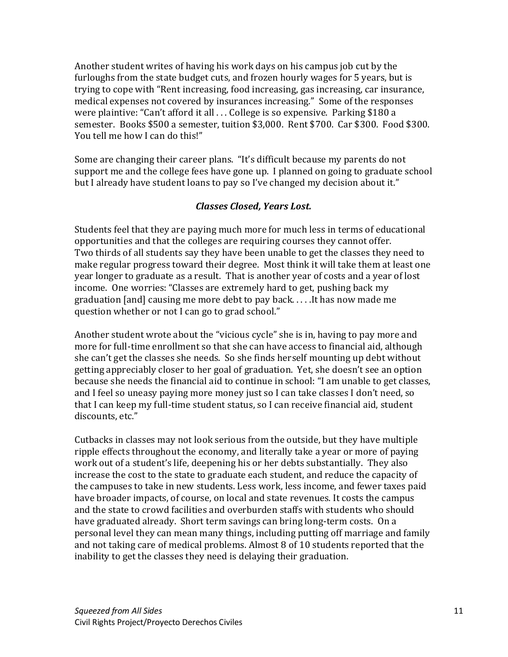Another student writes of having his work days on his campus job cut by the furloughs from the state budget cuts, and frozen hourly wages for 5 years, but is trying to cope with "Rent increasing, food increasing, gas increasing, car insurance, medical expenses not covered by insurances increasing." Some of the responses were plaintive: "Can't afford it all ... College is so expensive. Parking \$180 a semester. Books \$500 a semester, tuition \$3,000. Rent \$700. Car \$300. Food \$300. You tell me how I can do this!"

Some are changing their career plans. "It's difficult because my parents do not support me and the college fees have gone up. I planned on going to graduate school but I already have student loans to pay so I've changed my decision about it."

### *Classes'Closed,'Years'Lost.*

Students feel that they are paying much more for much less in terms of educational opportunities and that the colleges are requiring courses they cannot offer. Two thirds of all students say they have been unable to get the classes they need to make regular progress toward their degree. Most think it will take them at least one year longer to graduate as a result. That is another year of costs and a year of lost income. One worries: "Classes are extremely hard to get, pushing back my graduation [and] causing me more debt to pay back......It has now made me question whether or not I can go to grad school."

Another student wrote about the "vicious cycle" she is in, having to pay more and more for full-time enrollment so that she can have access to financial aid, although she can't get the classes she needs. So she finds herself mounting up debt without getting appreciably closer to her goal of graduation. Yet, she doesn't see an option because she needs the financial aid to continue in school: "I am unable to get classes, and I feel so uneasy paying more money just so I can take classes I don't need, so that I can keep my full-time student status, so I can receive financial aid, student discounts, etc."

Cutbacks in classes may not look serious from the outside, but they have multiple ripple effects throughout the economy, and literally take a year or more of paying work out of a student's life, deepening his or her debts substantially. They also increase the cost to the state to graduate each student, and reduce the capacity of the campuses to take in new students. Less work, less income, and fewer taxes paid have broader impacts, of course, on local and state revenues. It costs the campus and the state to crowd facilities and overburden staffs with students who should have graduated already. Short term savings can bring long-term costs. On a personal level they can mean many things, including putting off marriage and family and not taking care of medical problems. Almost 8 of 10 students reported that the inability to get the classes they need is delaying their graduation.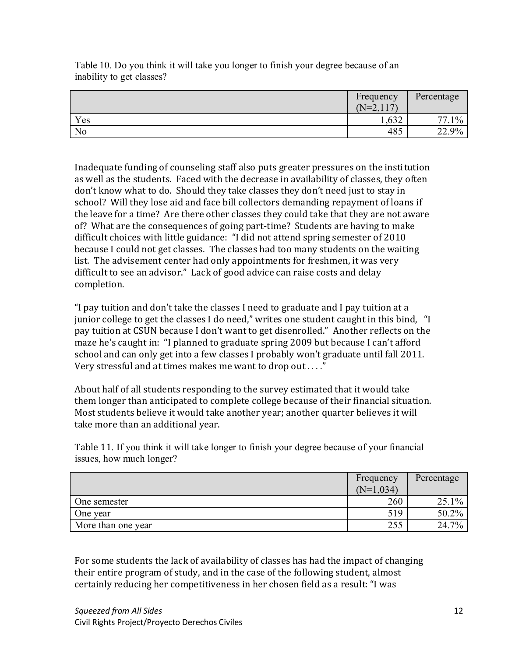Table 10. Do you think it will take you longer to finish your degree because of an inability to get classes?

|     | Frequency<br>$(N=2,117)$ | Percentage                |
|-----|--------------------------|---------------------------|
| Yes | .632                     | $1\%$<br>77.<br>$\cdot$ . |
| No  | 485                      | 22.9%                     |

Inadequate funding of counseling staff also puts greater pressures on the institution as well as the students. Faced with the decrease in availability of classes, they often don't know what to do. Should they take classes they don't need just to stay in school? Will they lose aid and face bill collectors demanding repayment of loans if the leave for a time? Are there other classes they could take that they are not aware of? What are the consequences of going part-time? Students are having to make difficult choices with little guidance: "I did not attend spring semester of 2010 because I could not get classes. The classes had too many students on the waiting list. The advisement center had only appointments for freshmen, it was very difficult to see an advisor." Lack of good advice can raise costs and delay completion.

"I pay tuition and don't take the classes I need to graduate and I pay tuition at a junior college to get the classes I do need," writes one student caught in this bind, "I pay tuition at CSUN because I don't want to get disenrolled." Another reflects on the maze he's caught in: "I planned to graduate spring 2009 but because I can't afford school and can only get into a few classes I probably won't graduate until fall 2011. Very stressful and at times makes me want to drop out...."

About half of all students responding to the survey estimated that it would take them longer than anticipated to complete college because of their financial situation. Most students believe it would take another year; another quarter believes it will take more than an additional year.

Table 11. If you think it will take longer to finish your degree because of your financial issues, how much longer?

|                    | Frequency   | Percentage |
|--------------------|-------------|------------|
|                    | $(N=1,034)$ |            |
| One semester       | 260         | $25.1\%$   |
| One year           | 519         | $50.2\%$   |
| More than one year | 255         | $24.7\%$   |

For some students the lack of availability of classes has had the impact of changing their entire program of study, and in the case of the following student, almost certainly reducing her competitiveness in her chosen field as a result: "I was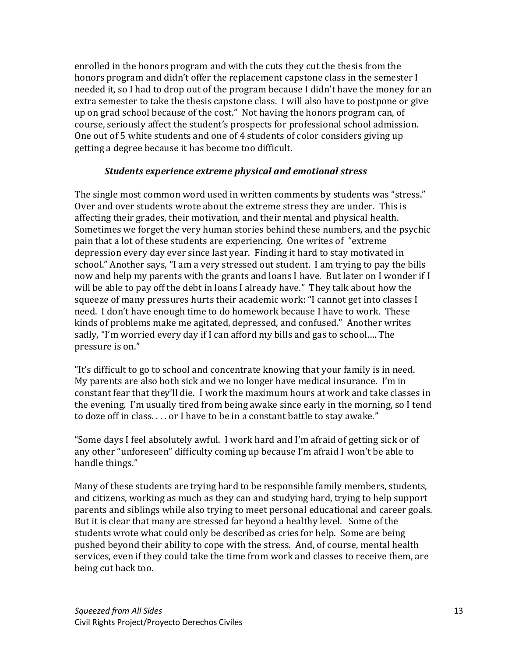enrolled in the honors program and with the cuts they cut the thesis from the honors program and didn't offer the replacement capstone class in the semester I needed it, so I had to drop out of the program because I didn't have the money for an extra semester to take the thesis capstone class. I will also have to postpone or give up on grad school because of the cost." Not having the honors program can, of course, seriously affect the student's prospects for professional school admission. One out of 5 white students and one of 4 students of color considers giving up getting a degree because it has become too difficult.

#### *Students'experience'extreme physical'and'emotional stress*

The single most common word used in written comments by students was "stress." Over and over students wrote about the extreme stress they are under. This is affecting their grades, their motivation, and their mental and physical health. Sometimes we forget the very human stories behind these numbers, and the psychic pain that a lot of these students are experiencing. One writes of "extreme" depression every day ever since last year. Finding it hard to stay motivated in school." Another says, "I am a very stressed out student. I am trying to pay the bills now and help my parents with the grants and loans I have. But later on I wonder if I will be able to pay off the debt in loans I already have." They talk about how the squeeze of many pressures hurts their academic work: "I cannot get into classes I need. I don't have enough time to do homework because I have to work. These kinds of problems make me agitated, depressed, and confused." Another writes sadly, "I'm worried every day if I can afford my bills and gas to school.... The pressure is on."

"It's difficult to go to school and concentrate knowing that your family is in need. My parents are also both sick and we no longer have medical insurance. I'm in constant fear that they'll die. I work the maximum hours at work and take classes in the evening. I'm usually tired from being awake since early in the morning, so I tend to doze off in class... or I have to be in a constant battle to stay awake."

"Some days I feel absolutely awful. I work hard and I'm afraid of getting sick or of any other "unforeseen" difficulty coming up because I'm afraid I won't be able to handle things."

Many of these students are trying hard to be responsible family members, students, and citizens, working as much as they can and studying hard, trying to help support parents and siblings while also trying to meet personal educational and career goals. But it is clear that many are stressed far beyond a healthy level. Some of the students wrote what could only be described as cries for help. Some are being pushed beyond their ability to cope with the stress. And, of course, mental health services, even if they could take the time from work and classes to receive them, are being cut back too.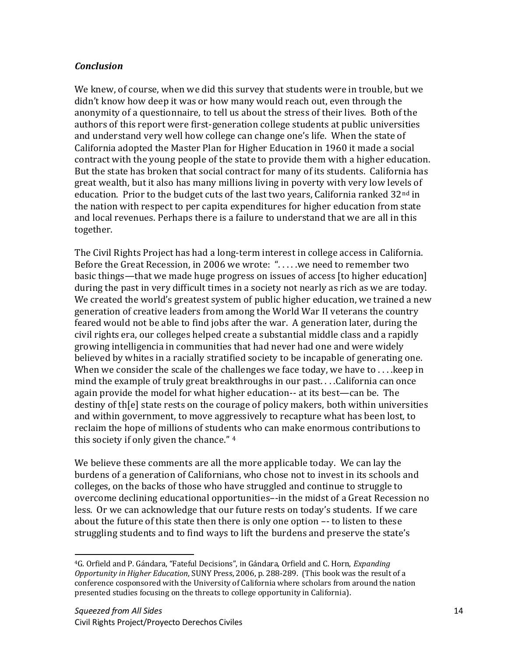## *Conclusion*!!

We knew, of course, when we did this survey that students were in trouble, but we didn't know how deep it was or how many would reach out, even through the anonymity of a questionnaire, to tell us about the stress of their lives. Both of the authors of this report were first-generation college students at public universities and understand very well how college can change one's life. When the state of California adopted the Master Plan for Higher Education in 1960 it made a social contract with the young people of the state to provide them with a higher education. But the state has broken that social contract for many of its students. California has great wealth, but it also has many millions living in poverty with very low levels of education. Prior to the budget cuts of the last two years, California ranked  $32^{\text{nd}}$  in the nation with respect to per capita expenditures for higher education from state and local revenues. Perhaps there is a failure to understand that we are all in this together.

The Civil Rights Project has had a long-term interest in college access in California. Before the Great Recession, in 2006 we wrote: "....we need to remember two basic things—that we made huge progress on issues of access [to higher education] during the past in very difficult times in a society not nearly as rich as we are today. We created the world's greatest system of public higher education, we trained a new generation of creative leaders from among the World War II veterans the country feared would not be able to find jobs after the war. A generation later, during the civil rights era, our colleges helped create a substantial middle class and a rapidly growing intelligencia in communities that had never had one and were widely believed by whites in a racially stratified society to be incapable of generating one. When we consider the scale of the challenges we face today, we have to  $\dots$  keep in mind the example of truly great breakthroughs in our past... . California can once again provide the model for what higher education-- at its best—can be. The destiny of th[e] state rests on the courage of policy makers, both within universities and within government, to move aggressively to recapture what has been lost, to reclaim the hope of millions of students who can make enormous contributions to this society if only given the chance." 4

We believe these comments are all the more applicable today. We can lay the burdens of a generation of Californians, who chose not to invest in its schools and colleges, on the backs of those who have struggled and continue to struggle to overcome declining educational opportunities--in the midst of a Great Recession no less. Or we can acknowledge that our future rests on today's students. If we care about the future of this state then there is only one option  $-$ - to listen to these struggling students and to find ways to lift the burdens and preserve the state's

<sup>!!!!!!!!!!!!!!!!!!!!!!!!!!!!!!!!!!!!!!!!!!!!!!!!!!!!!!!!!!</sup> <sup>4</sup>G. Orfield and P. Gándara, "Fateful Decisions", in Gándara, Orfield and C. Horn, Expanding *Opportunity in Higher Education*, SUNY Press, 2006, p. 288-289. (This book was the result of a conference cosponsored with the University of California where scholars from around the nation presented studies focusing on the threats to college opportunity in California).